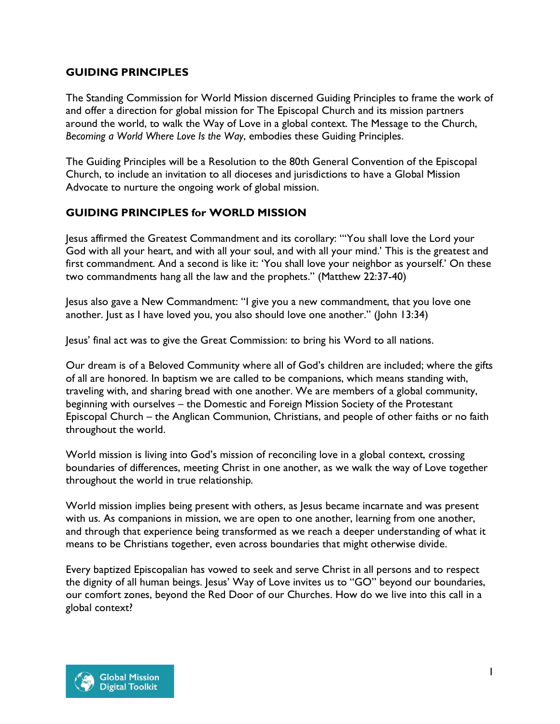## **GUIDING PRINCIPLES**

The Standing Commission for World Mission discerned Guiding Principles to frame the work of and offer a direction for global mission for The Episcopal Church and its mission partners around the world, to walk the Way of Love in a global context. The Message to the Church, *Becoming a World Where Love Is the Way*, embodies these Guiding Principles.

The Guiding Principles will be a Resolution to the 80th General Convention of the Episcopal Church, to include an invitation to all dioceses and jurisdictions to have a Global Mission Advocate to nurture the ongoing work of global mission.

## **GUIDING PRINCIPLES for WORLD MISSION**

Jesus affirmed the Greatest Commandment and its corollary: "'You shall love the Lord your God with all your heart, and with all your soul, and with all your mind.' This is the greatest and first commandment. And a second is like it: 'You shall love your neighbor as yourself.' On these two commandments hang all the law and the prophets." (Matthew 22:37-40)

Jesus also gave a New Commandment: "I give you a new commandment, that you love one another. Just as I have loved you, you also should love one another." (John 13:34)

Jesus' final act was to give the Great Commission: to bring his Word to all nations.

Our dream is of a Beloved Community where all of God's children are included; where the gifts of all are honored. In baptism we are called to be companions, which means standing with, traveling with, and sharing bread with one another. We are members of a global community, beginning with ourselves – the Domestic and Foreign Mission Society of the Protestant Episcopal Church – the Anglican Communion, Christians, and people of other faiths or no faith throughout the world.

World mission is living into God's mission of reconciling love in a global context, crossing boundaries of differences, meeting Christ in one another, as we walk the way of Love together throughout the world in true relationship.

World mission implies being present with others, as Jesus became incarnate and was present with us. As companions in mission, we are open to one another, learning from one another, and through that experience being transformed as we reach a deeper understanding of what it means to be Christians together, even across boundaries that might otherwise divide.

Every baptized Episcopalian has vowed to seek and serve Christ in all persons and to respect the dignity of all human beings. Jesus' Way of Love invites us to "GO" beyond our boundaries, our comfort zones, beyond the Red Door of our Churches. How do we live into this call in a global context?

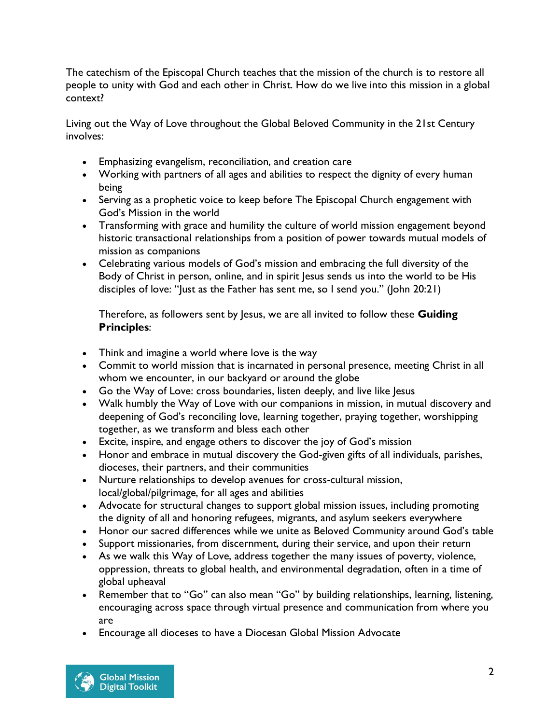The catechism of the Episcopal Church teaches that the mission of the church is to restore all people to unity with God and each other in Christ. How do we live into this mission in a global context?

Living out the Way of Love throughout the Global Beloved Community in the 21st Century involves:

- Emphasizing evangelism, reconciliation, and creation care
- Working with partners of all ages and abilities to respect the dignity of every human being
- Serving as a prophetic voice to keep before The Episcopal Church engagement with God's Mission in the world
- Transforming with grace and humility the culture of world mission engagement beyond historic transactional relationships from a position of power towards mutual models of mission as companions
- Celebrating various models of God's mission and embracing the full diversity of the Body of Christ in person, online, and in spirit Jesus sends us into the world to be His disciples of love: "Just as the Father has sent me, so I send you." (John 20:21)

Therefore, as followers sent by Jesus, we are all invited to follow these **Guiding Principles**:

- Think and imagine a world where love is the way
- Commit to world mission that is incarnated in personal presence, meeting Christ in all whom we encounter, in our backyard or around the globe
- Go the Way of Love: cross boundaries, listen deeply, and live like Jesus
- Walk humbly the Way of Love with our companions in mission, in mutual discovery and deepening of God's reconciling love, learning together, praying together, worshipping together, as we transform and bless each other
- Excite, inspire, and engage others to discover the joy of God's mission
- Honor and embrace in mutual discovery the God-given gifts of all individuals, parishes, dioceses, their partners, and their communities
- Nurture relationships to develop avenues for cross-cultural mission, local/global/pilgrimage, for all ages and abilities
- Advocate for structural changes to support global mission issues, including promoting the dignity of all and honoring refugees, migrants, and asylum seekers everywhere
- Honor our sacred differences while we unite as Beloved Community around God's table
- Support missionaries, from discernment, during their service, and upon their return
- As we walk this Way of Love, address together the many issues of poverty, violence, oppression, threats to global health, and environmental degradation, often in a time of global upheaval
- Remember that to "Go" can also mean "Go" by building relationships, learning, listening, encouraging across space through virtual presence and communication from where you are
- Encourage all dioceses to have a Diocesan Global Mission Advocate